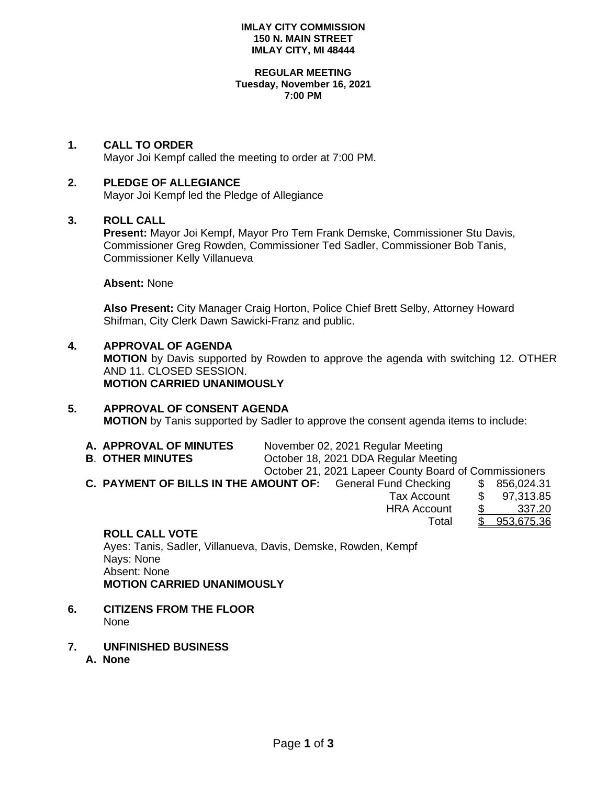### **IMLAY CITY COMMISSION 150 N. MAIN STREET IMLAY CITY, MI 48444**

#### **REGULAR MEETING Tuesday, November 16, 2021 7:00 PM**

### **1. CALL TO ORDER**

Mayor Joi Kempf called the meeting to order at 7:00 PM.

### **2. PLEDGE OF ALLEGIANCE**

Mayor Joi Kempf led the Pledge of Allegiance

### **3. ROLL CALL**

**Present:** Mayor Joi Kempf, Mayor Pro Tem Frank Demske, Commissioner Stu Davis, Commissioner Greg Rowden, Commissioner Ted Sadler, Commissioner Bob Tanis, Commissioner Kelly Villanueva

### **Absent:** None

**Also Present:** City Manager Craig Horton, Police Chief Brett Selby, Attorney Howard Shifman, City Clerk Dawn Sawicki-Franz and public.

### **4. APPROVAL OF AGENDA**

**MOTION** by Davis supported by Rowden to approve the agenda with switching 12. OTHER AND 11. CLOSED SESSION. **MOTION CARRIED UNANIMOUSLY**

# **5. APPROVAL OF CONSENT AGENDA**

| <b>MOTION</b> by Tanis supported by Sadler to approve the consent agenda items to include: |  |  |
|--------------------------------------------------------------------------------------------|--|--|
|--------------------------------------------------------------------------------------------|--|--|

| A. APPROVAL OF MINUTES | November 02, 2021 Regular Meeting |
|------------------------|-----------------------------------|
|                        |                                   |

**B**. **OTHER MINUTES** October 18, 2021 DDA Regular Meeting

October 21, 2021 Lapeer County Board of Commissioners

Total \$ 953,675.36

**C. PAYMENT OF BILLS IN THE AMOUNT OF:** General Fund Checking \$ 856,024.31 Tax Account \$ 97,313.85 HRA Account \$ 337.20

### **ROLL CALL VOTE**

Ayes: Tanis, Sadler, Villanueva, Davis, Demske, Rowden, Kempf Nays: None Absent: None **MOTION CARRIED UNANIMOUSLY**

- **6. CITIZENS FROM THE FLOOR** None
- **7. UNFINISHED BUSINESS**
	- **A. None**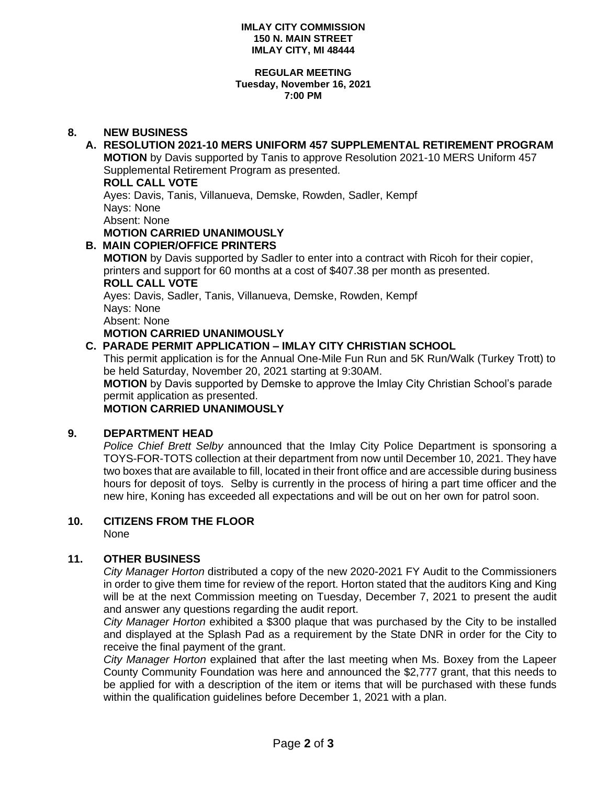### **IMLAY CITY COMMISSION 150 N. MAIN STREET IMLAY CITY, MI 48444**

### **REGULAR MEETING Tuesday, November 16, 2021 7:00 PM**

# **8. NEW BUSINESS**

# **A. RESOLUTION 2021-10 MERS UNIFORM 457 SUPPLEMENTAL RETIREMENT PROGRAM**

**MOTION** by Davis supported by Tanis to approve Resolution 2021-10 MERS Uniform 457 Supplemental Retirement Program as presented.

### **ROLL CALL VOTE**

Ayes: Davis, Tanis, Villanueva, Demske, Rowden, Sadler, Kempf Nays: None Absent: None

# **MOTION CARRIED UNANIMOUSLY**

**B. MAIN COPIER/OFFICE PRINTERS**

**MOTION** by Davis supported by Sadler to enter into a contract with Ricoh for their copier, printers and support for 60 months at a cost of \$407.38 per month as presented.

### **ROLL CALL VOTE**

Ayes: Davis, Sadler, Tanis, Villanueva, Demske, Rowden, Kempf Nays: None Absent: None

**MOTION CARRIED UNANIMOUSLY**

# **C. PARADE PERMIT APPLICATION – IMLAY CITY CHRISTIAN SCHOOL**

This permit application is for the Annual One-Mile Fun Run and 5K Run/Walk (Turkey Trott) to be held Saturday, November 20, 2021 starting at 9:30AM.

**MOTION** by Davis supported by Demske to approve the Imlay City Christian School's parade permit application as presented.

**MOTION CARRIED UNANIMOUSLY**

# **9. DEPARTMENT HEAD**

*Police Chief Brett Selby* announced that the Imlay City Police Department is sponsoring a TOYS-FOR-TOTS collection at their department from now until December 10, 2021. They have two boxes that are available to fill, located in their front office and are accessible during business hours for deposit of toys. Selby is currently in the process of hiring a part time officer and the new hire, Koning has exceeded all expectations and will be out on her own for patrol soon.

# **10. CITIZENS FROM THE FLOOR**

None

# **11. OTHER BUSINESS**

*City Manager Horton* distributed a copy of the new 2020-2021 FY Audit to the Commissioners in order to give them time for review of the report. Horton stated that the auditors King and King will be at the next Commission meeting on Tuesday, December 7, 2021 to present the audit and answer any questions regarding the audit report.

*City Manager Horton* exhibited a \$300 plaque that was purchased by the City to be installed and displayed at the Splash Pad as a requirement by the State DNR in order for the City to receive the final payment of the grant.

*City Manager Horton* explained that after the last meeting when Ms. Boxey from the Lapeer County Community Foundation was here and announced the \$2,777 grant, that this needs to be applied for with a description of the item or items that will be purchased with these funds within the qualification guidelines before December 1, 2021 with a plan.